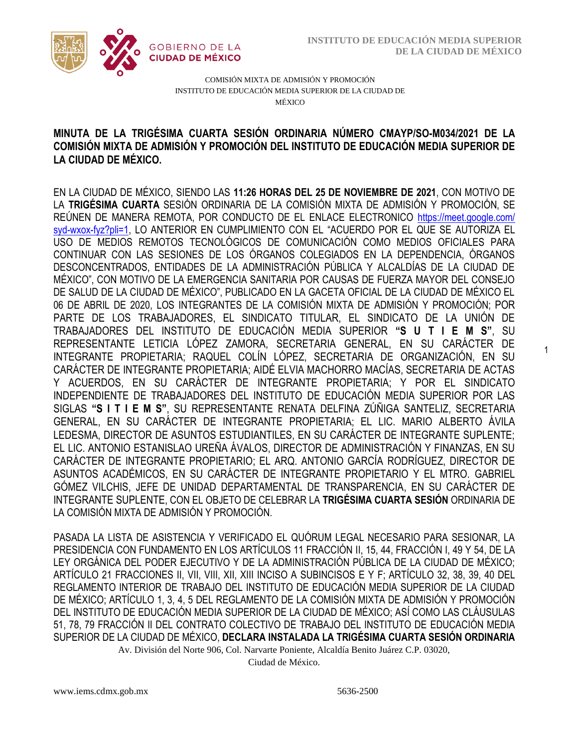1



COMISIÓN MIXTA DE ADMISIÓN Y PROMOCIÓN INSTITUTO DE EDUCACIÓN MEDIA SUPERIOR DE LA CIUDAD DE MÉXICO

## COMISIÓN MIXTA DE ADMISIÓN Y PROMOCIÓN DEL INSTITUTO DE EDUCACIÓN MEDIA SUPERIOR DE **MINUTA DE LA TRIGÉSIMA CUARTA SESIÓN ORDINARIA NÚMERO CMAYP/SO-M034/2021 DE LA LA CIUDAD DE MÉXICO.**

EN LA CIUDAD DE MÉXICO, SIENDO LAS **11:26 HORAS DEL 25 DE NOVIEMBRE DE 2021**, CON MOTIVO DE LA **TRIGÉSIMA CUARTA** SESIÓN ORDINARIA DE LA COMISIÓN MIXTA DE ADMISIÓN Y PROMOCIÓN, SE REÚNEN DE MANERA REMOTA, POR CONDUCTO DE EL ENLACE ELECTRONICO [https://meet.google.com/](https://meet.google.com/owz-zeir-) [syd-wxox-fyz?pli=1,](https://meet.google.com/owz-zeir-) LO ANTERIOR EN CUMPLIMIENTO CON EL "ACUERDO POR EL QUE SE AUTORIZA EL USO DE MEDIOS REMOTOS TECNOLÓGICOS DE COMUNICACIÓN COMO MEDIOS OFICIALES PARA CONTINUAR CON LAS SESIONES DE LOS ÓRGANOS COLEGIADOS EN LA DEPENDENCIA, ÓRGANOS DESCONCENTRADOS, ENTIDADES DE LA ADMINISTRACIÓN PÚBLICA Y ALCALDÍAS DE LA CIUDAD DE MÉXICO", CON MOTIVO DE LA EMERGENCIA SANITARIA POR CAUSAS DE FUERZA MAYOR DEL CONSEJO DE SALUD DE LA CIUDAD DE MÉXICO", PUBLICADO EN LA GACETA OFICIAL DE LA CIUDAD DE MÉXICO EL 06 DE ABRIL DE 2020, LOS INTEGRANTES DE LA COMISIÓN MIXTA DE ADMISIÓN Y PROMOCIÓN; POR PARTE DE LOS TRABAJADORES, EL SINDICATO TITULAR, EL SINDICATO DE LA UNIÓN DE TRABAJADORES DEL INSTITUTO DE EDUCACIÓN MEDIA SUPERIOR **"S U T I E M S"**, SU REPRESENTANTE LETICIA LÓPEZ ZAMORA, SECRETARIA GENERAL, EN SU CARÁCTER DE INTEGRANTE PROPIETARIA; RAQUEL COLÍN LÓPEZ, SECRETARIA DE ORGANIZACIÓN, EN SU CARÁCTER DE INTEGRANTE PROPIETARIA; AIDÉ ELVIA MACHORRO MACÍAS, SECRETARIA DE ACTAS Y ACUERDOS, EN SU CARÁCTER DE INTEGRANTE PROPIETARIA; Y POR EL SINDICATO INDEPENDIENTE DE TRABAJADORES DEL INSTITUTO DE EDUCACIÓN MEDIA SUPERIOR POR LAS SIGLAS **"S I T I E M S"**, SU REPRESENTANTE RENATA DELFINA ZÚÑIGA SANTELIZ, SECRETARIA GENERAL, EN SU CARÁCTER DE INTEGRANTE PROPIETARIA; EL LIC. MARIO ALBERTO ÁVILA LEDESMA, DIRECTOR DE ASUNTOS ESTUDIANTILES, EN SU CARÁCTER DE INTEGRANTE SUPLENTE; EL LIC. ANTONIO ESTANISLAO UREÑA ÁVALOS, DIRECTOR DE ADMINISTRACIÓN Y FINANZAS, EN SU CARÁCTER DE INTEGRANTE PROPIETARIO; EL ARQ. ANTONIO GARCÍA RODRÍGUEZ, DIRECTOR DE ASUNTOS ACADÉMICOS, EN SU CARÁCTER DE INTEGRANTE PROPIETARIO Y EL MTRO. GABRIEL GÓMEZ VILCHIS, JEFE DE UNIDAD DEPARTAMENTAL DE TRANSPARENCIA, EN SU CARÁCTER DE INTEGRANTE SUPLENTE, CON EL OBJETO DE CELEBRAR LA **TRIGÉSIMA CUARTA SESIÓN** ORDINARIA DE LA COMISIÓN MIXTA DE ADMISIÓN Y PROMOCIÓN.

PASADA LA LISTA DE ASISTENCIA Y VERIFICADO EL QUÓRUM LEGAL NECESARIO PARA SESIONAR, LA PRESIDENCIA CON FUNDAMENTO EN LOS ARTÍCULOS 11 FRACCIÓN II, 15, 44, FRACCIÓN I, 49 Y 54, DE LA LEY ORGÁNICA DEL PODER EJECUTIVO Y DE LA ADMINISTRACIÓN PÚBLICA DE LA CIUDAD DE MÉXICO; ARTÍCULO 21 FRACCIONES II, VII, VIII, XII, XIII INCISO A SUBINCISOS E Y F; ARTÍCULO 32, 38, 39, 40 DEL REGLAMENTO INTERIOR DE TRABAJO DEL INSTITUTO DE EDUCACIÓN MEDIA SUPERIOR DE LA CIUDAD DE MÉXICO; ARTÍCULO 1, 3, 4, 5 DEL REGLAMENTO DE LA COMISIÓN MIXTA DE ADMISIÓN Y PROMOCIÓN DEL INSTITUTO DE EDUCACIÓN MEDIA SUPERIOR DE LA CIUDAD DE MÉXICO; ASÍ COMO LAS CLÁUSULAS 51, 78, 79 FRACCIÓN II DEL CONTRATO COLECTIVO DE TRABAJO DEL INSTITUTO DE EDUCACIÓN MEDIA SUPERIOR DE LA CIUDAD DE MÉXICO, **DECLARA INSTALADA LA TRIGÉSIMA CUARTA SESIÓN ORDINARIA** 

Av. División del Norte 906, Col. Narvarte Poniente, Alcaldía Benito Juárez C.P. 03020,

Ciudad de México.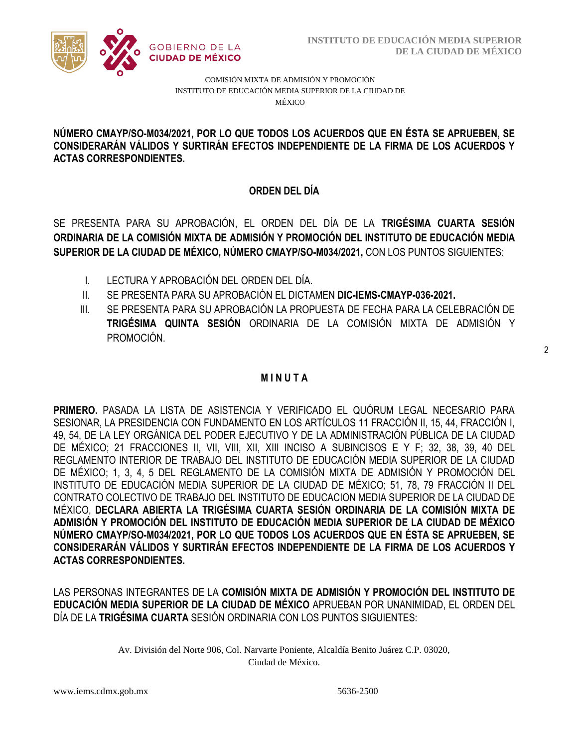

COMISIÓN MIXTA DE ADMISIÓN Y PROMOCIÓN INSTITUTO DE EDUCACIÓN MEDIA SUPERIOR DE LA CIUDAD DE MÉXICO

### CONSIDERARÁN VÁLIDOS Y SURTIRÁN EFECTOS INDEPENDIENTE DE LA FIRMA DE LOS ACUERDOS Y  **NÚMERO CMAYP/SO-M034/2021, POR LO QUE TODOS LOS ACUERDOS QUE EN ÉSTA SE APRUEBEN, SE ACTAS CORRESPONDIENTES.**

# **ORDEN DEL DÍA**

SE PRESENTA PARA SU APROBACIÓN, EL ORDEN DEL DÍA DE LA **TRIGÉSIMA CUARTA SESIÓN ORDINARIA DE LA COMISIÓN MIXTA DE ADMISIÓN Y PROMOCIÓN DEL INSTITUTO DE EDUCACIÓN MEDIA SUPERIOR DE LA CIUDAD DE MÉXICO, NÚMERO CMAYP/SO-M034/2021,** CON LOS PUNTOS SIGUIENTES:

- I. LECTURA Y APROBACIÓN DEL ORDEN DEL DÍA.
- II. SE PRESENTA PARA SU APROBACIÓN EL DICTAMEN **DIC-IEMS-CMAYP-036-2021.**
- III. SE PRESENTA PARA SU APROBACIÓN LA PROPUESTA DE FECHA PARA LA CELEBRACIÓN DE **TRIGÉSIMA QUINTA SESIÓN** ORDINARIA DE LA COMISIÓN MIXTA DE ADMISIÓN Y PROMOCIÓN.

# **M I N U T A**

**PRIMERO.** PASADA LA LISTA DE ASISTENCIA Y VERIFICADO EL QUÓRUM LEGAL NECESARIO PARA SESIONAR, LA PRESIDENCIA CON FUNDAMENTO EN LOS ARTÍCULOS 11 FRACCIÓN II, 15, 44, FRACCIÓN I, 49, 54, DE LA LEY ORGÁNICA DEL PODER EJECUTIVO Y DE LA ADMINISTRACIÓN PÚBLICA DE LA CIUDAD DE MÉXICO; 21 FRACCIONES II, VII, VIII, XII, XIII INCISO A SUBINCISOS E Y F; 32, 38, 39, 40 DEL REGLAMENTO INTERIOR DE TRABAJO DEL INSTITUTO DE EDUCACIÓN MEDIA SUPERIOR DE LA CIUDAD DE MÉXICO; 1, 3, 4, 5 DEL REGLAMENTO DE LA COMISIÓN MIXTA DE ADMISIÓN Y PROMOCIÓN DEL INSTITUTO DE EDUCACIÓN MEDIA SUPERIOR DE LA CIUDAD DE MÉXICO; 51, 78, 79 FRACCIÓN II DEL CONTRATO COLECTIVO DE TRABAJO DEL INSTITUTO DE EDUCACION MEDIA SUPERIOR DE LA CIUDAD DE MÉXICO, **DECLARA ABIERTA LA TRIGÉSIMA CUARTA SESIÓN ORDINARIA DE LA COMISIÓN MIXTA DE ADMISIÓN Y PROMOCIÓN DEL INSTITUTO DE EDUCACIÓN MEDIA SUPERIOR DE LA CIUDAD DE MÉXICO NÚMERO CMAYP/SO-M034/2021, POR LO QUE TODOS LOS ACUERDOS QUE EN ÉSTA SE APRUEBEN, SE CONSIDERARÁN VÁLIDOS Y SURTIRÁN EFECTOS INDEPENDIENTE DE LA FIRMA DE LOS ACUERDOS Y ACTAS CORRESPONDIENTES.**

LAS PERSONAS INTEGRANTES DE LA **COMISIÓN MIXTA DE ADMISIÓN Y PROMOCIÓN DEL INSTITUTO DE EDUCACIÓN MEDIA SUPERIOR DE LA CIUDAD DE MÉXICO** APRUEBAN POR UNANIMIDAD, EL ORDEN DEL DÍA DE LA **TRIGÉSIMA CUARTA** SESIÓN ORDINARIA CON LOS PUNTOS SIGUIENTES: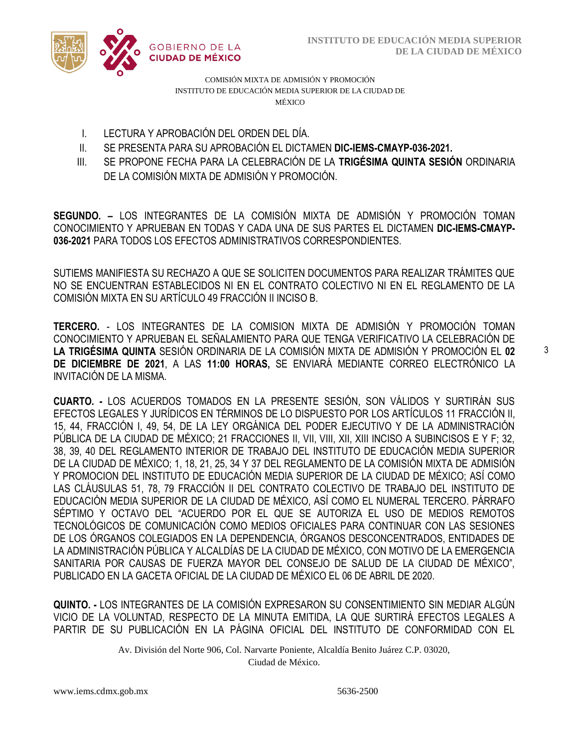

COMISIÓN MIXTA DE ADMISIÓN Y PROMOCIÓN INSTITUTO DE EDUCACIÓN MEDIA SUPERIOR DE LA CIUDAD DE MÉXICO

- I. LECTURA Y APROBACIÓN DEL ORDEN DEL DÍA.
- /2020 II. SE PRESENTA PARA SU APROBACIÓN EL DICTAMEN **DIC-IEMS-CMAYP-036-2021.**
- III. SE PROPONE FECHA PARA LA CELEBRACIÓN DE LA **TRIGÉSIMA QUINTA SESIÓN** ORDINARIA DE LA COMISIÓN MIXTA DE ADMISIÓN Y PROMOCIÓN.

**SEGUNDO. –** LOS INTEGRANTES DE LA COMISIÓN MIXTA DE ADMISIÓN Y PROMOCIÓN TOMAN CONOCIMIENTO Y APRUEBAN EN TODAS Y CADA UNA DE SUS PARTES EL DICTAMEN **DIC-IEMS-CMAYP-036-2021** PARA TODOS LOS EFECTOS ADMINISTRATIVOS CORRESPONDIENTES.

SUTIEMS MANIFIESTA SU RECHAZO A QUE SE SOLICITEN DOCUMENTOS PARA REALIZAR TRÁMITES QUE NO SE ENCUENTRAN ESTABLECIDOS NI EN EL CONTRATO COLECTIVO NI EN EL REGLAMENTO DE LA COMISIÓN MIXTA EN SU ARTÍCULO 49 FRACCIÓN II INCISO B.

**TERCERO.** - LOS INTEGRANTES DE LA COMISION MIXTA DE ADMISIÓN Y PROMOCIÓN TOMAN CONOCIMIENTO Y APRUEBAN EL SEÑALAMIENTO PARA QUE TENGA VERIFICATIVO LA CELEBRACIÓN DE **LA TRIGÉSIMA QUINTA** SESIÓN ORDINARIA DE LA COMISIÓN MIXTA DE ADMISIÓN Y PROMOCIÓN EL **02 DE DICIEMBRE DE 2021**, A LAS **11:00 HORAS,** SE ENVIARÁ MEDIANTE CORREO ELECTRÓNICO LA INVITACIÓN DE LA MISMA.

**CUARTO. -** LOS ACUERDOS TOMADOS EN LA PRESENTE SESIÓN, SON VÁLIDOS Y SURTIRÁN SUS EFECTOS LEGALES Y JURÍDICOS EN TÉRMINOS DE LO DISPUESTO POR LOS ARTÍCULOS 11 FRACCIÓN II, 15, 44, FRACCIÓN I, 49, 54, DE LA LEY ORGÁNICA DEL PODER EJECUTIVO Y DE LA ADMINISTRACIÓN PÚBLICA DE LA CIUDAD DE MÉXICO; 21 FRACCIONES II, VII, VIII, XII, XIII INCISO A SUBINCISOS E Y F; 32, 38, 39, 40 DEL REGLAMENTO INTERIOR DE TRABAJO DEL INSTITUTO DE EDUCACIÓN MEDIA SUPERIOR DE LA CIUDAD DE MÉXICO; 1, 18, 21, 25, 34 Y 37 DEL REGLAMENTO DE LA COMISIÓN MIXTA DE ADMISIÓN Y PROMOCION DEL INSTITUTO DE EDUCACIÓN MEDIA SUPERIOR DE LA CIUDAD DE MÉXICO; ASÍ COMO LAS CLÁUSULAS 51, 78, 79 FRACCIÓN II DEL CONTRATO COLECTIVO DE TRABAJO DEL INSTITUTO DE EDUCACIÓN MEDIA SUPERIOR DE LA CIUDAD DE MÉXICO, ASÍ COMO EL NUMERAL TERCERO. PÁRRAFO SÉPTIMO Y OCTAVO DEL "ACUERDO POR EL QUE SE AUTORIZA EL USO DE MEDIOS REMOTOS TECNOLÓGICOS DE COMUNICACIÓN COMO MEDIOS OFICIALES PARA CONTINUAR CON LAS SESIONES DE LOS ÓRGANOS COLEGIADOS EN LA DEPENDENCIA, ÓRGANOS DESCONCENTRADOS, ENTIDADES DE LA ADMINISTRACIÓN PÚBLICA Y ALCALDÍAS DE LA CIUDAD DE MÉXICO, CON MOTIVO DE LA EMERGENCIA SANITARIA POR CAUSAS DE FUERZA MAYOR DEL CONSEJO DE SALUD DE LA CIUDAD DE MÉXICO", PUBLICADO EN LA GACETA OFICIAL DE LA CIUDAD DE MÉXICO EL 06 DE ABRIL DE 2020.

**QUINTO. -** LOS INTEGRANTES DE LA COMISIÓN EXPRESARON SU CONSENTIMIENTO SIN MEDIAR ALGÚN VICIO DE LA VOLUNTAD, RESPECTO DE LA MINUTA EMITIDA, LA QUE SURTIRÁ EFECTOS LEGALES A PARTIR DE SU PUBLICACIÓN EN LA PÁGINA OFICIAL DEL INSTITUTO DE CONFORMIDAD CON EL

> Av. División del Norte 906, Col. Narvarte Poniente, Alcaldía Benito Juárez C.P. 03020, Ciudad de México.

3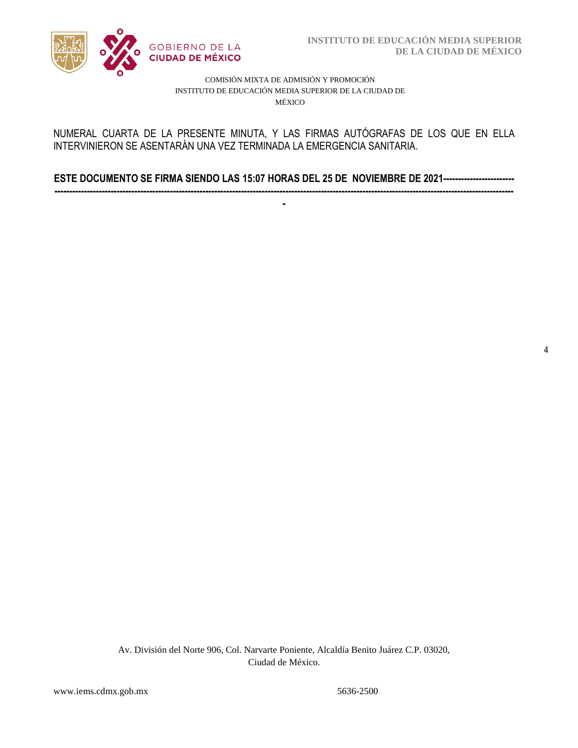

4

### COMISIÓN MIXTA DE ADMISIÓN Y PROMOCIÓN INSTITUTO DE EDUCACIÓN MEDIA SUPERIOR DE LA CIUDAD DE MÉXICO

### INTERVINIERON SE ASENTARÁN UNA VEZ TERMINADA LA EMERGENCIA SANITARIA. NUMERAL CUARTA DE LA PRESENTE MINUTA, Y LAS FIRMAS AUTÓGRAFAS DE LOS QUE EN ELLA

**ESTE DOCUMENTO SE FIRMA SIENDO LAS 15:07 HORAS DEL 25 DE NOVIEMBRE DE 2021------------------------ -----------------------------------------------------------------------------------------------------------------------------------------------------------**

**-**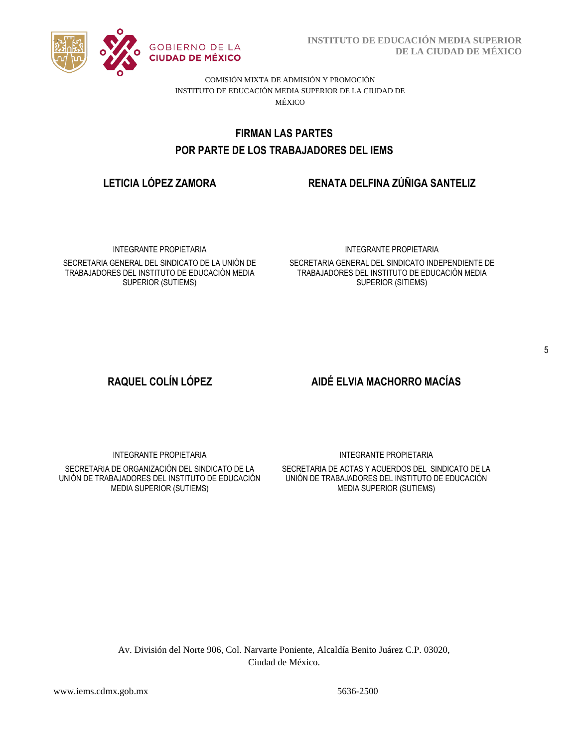

**INSTITUTO DE EDUCACIÓN MEDIA SUPERIOR DE LA CIUDAD DE MÉXICO**

COMISIÓN MIXTA DE ADMISIÓN Y PROMOCIÓN INSTITUTO DE EDUCACIÓN MEDIA SUPERIOR DE LA CIUDAD DE MÉXICO

# POR PARTE DE LOS TRABAJADORES DEL IEMS **FIRMAN LAS PARTES**

# **LETICIA LÓPEZ ZAMORA RENATA DELFINA ZÚÑIGA SANTELIZ**

INTEGRANTE PROPIETARIA

SECRETARIA GENERAL DEL SINDICATO DE LA UNIÓN DE TRABAJADORES DEL INSTITUTO DE EDUCACIÓN MEDIA SUPERIOR (SUTIEMS)

### INTEGRANTE PROPIETARIA

SECRETARIA GENERAL DEL SINDICATO INDEPENDIENTE DE TRABAJADORES DEL INSTITUTO DE EDUCACIÓN MEDIA SUPERIOR (SITIEMS)

# **RAQUEL COLÍN LÓPEZ AIDÉ ELVIA MACHORRO MACÍAS**

INTEGRANTE PROPIETARIA

SECRETARIA DE ORGANIZACIÓN DEL SINDICATO DE LA UNIÓN DE TRABAJADORES DEL INSTITUTO DE EDUCACIÓN MEDIA SUPERIOR (SUTIEMS)

INTEGRANTE PROPIETARIA

SECRETARIA DE ACTAS Y ACUERDOS DEL SINDICATO DE LA UNIÓN DE TRABAJADORES DEL INSTITUTO DE EDUCACIÓN MEDIA SUPERIOR (SUTIEMS)